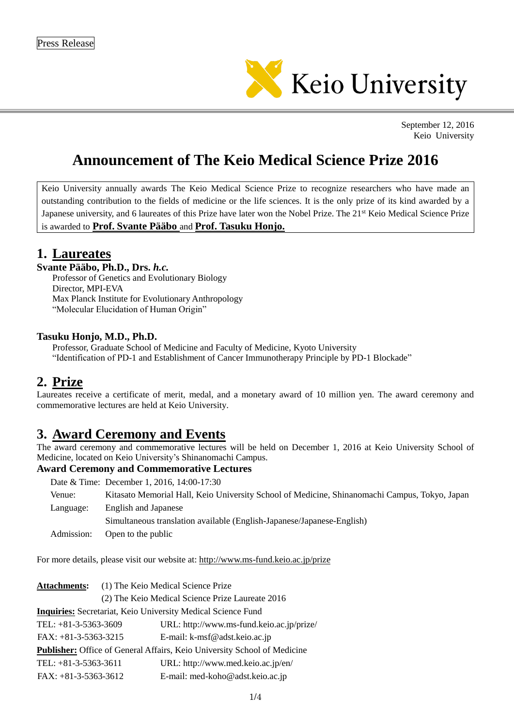

September 12, 2016 Keio University

# **Announcement of The Keio Medical Science Prize 2016**

Keio University annually awards The Keio Medical Science Prize to recognize researchers who have made an outstanding contribution to the fields of medicine or the life sciences. It is the only prize of its kind awarded by a Japanese university, and 6 laureates of this Prize have later won the Nobel Prize. The 21<sup>st</sup> Keio Medical Science Prize is awarded to **Prof. Svante Pääbo** and **Prof. Tasuku Honjo.**

## **1. Laureates**

## **Svante Pääbo, Ph.D., Drs.** *h.c.*

Professor of Genetics and Evolutionary Biology Director, MPI-EVA Max Planck Institute for Evolutionary Anthropology "Molecular Elucidation of Human Origin"

### **Tasuku Honjo, M.D., Ph.D.**

Professor, Graduate School of Medicine and Faculty of Medicine, Kyoto University "Identification of PD-1 and Establishment of Cancer Immunotherapy Principle by PD-1 Blockade"

# **2. Prize**

Laureates receive a certificate of merit, medal, and a monetary award of 10 million yen. The award ceremony and commemorative lectures are held at Keio University.

# **3. Award Ceremony and Events**

The award ceremony and commemorative lectures will be held on December 1, 2016 at Keio University School of Medicine, located on Keio University's Shinanomachi Campus.

## **Award Ceremony and Commemorative Lectures**

|            | Date & Time: December 1, 2016, 14:00-17:30                                                    |
|------------|-----------------------------------------------------------------------------------------------|
| Venue:     | Kitasato Memorial Hall, Keio University School of Medicine, Shinanomachi Campus, Tokyo, Japan |
| Language:  | <b>English and Japanese</b>                                                                   |
|            | Simultaneous translation available (English-Japanese/Japanese-English)                        |
| Admission: | Open to the public                                                                            |

For more details, please visit our website at: http://www.ms-fund.keio.ac.jp/prize

| <b>Attachments:</b>                                                      |  | (1) The Keio Medical Science Prize               |  |  |
|--------------------------------------------------------------------------|--|--------------------------------------------------|--|--|
|                                                                          |  | (2) The Keio Medical Science Prize Laureate 2016 |  |  |
| Inquiries: Secretariat, Keio University Medical Science Fund             |  |                                                  |  |  |
| TEL: $+81-3-5363-3609$                                                   |  | URL: http://www.ms-fund.keio.ac.jp/prize/        |  |  |
| $FAX: +81-3-5363-3215$                                                   |  | E-mail: k-msf@adst.keio.ac.jp                    |  |  |
| Publisher: Office of General Affairs, Keio University School of Medicine |  |                                                  |  |  |
| TEL: $+81-3-5363-3611$                                                   |  | URL: http://www.med.keio.ac.jp/en/               |  |  |
| $FAX: +81-3-5363-3612$                                                   |  | E-mail: med-koho@adst.keio.ac.jp                 |  |  |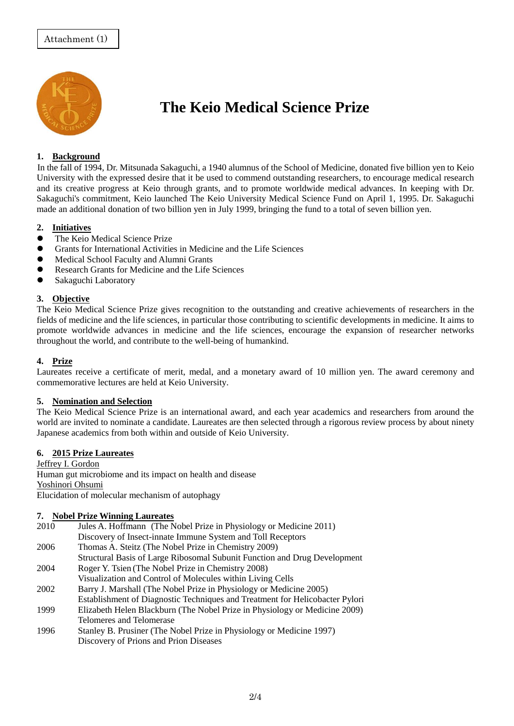

# **The Keio Medical Science Prize**

### **1. Background**

In the fall of 1994, Dr. Mitsunada Sakaguchi, a 1940 alumnus of the School of Medicine, donated five billion yen to Keio University with the expressed desire that it be used to commend outstanding researchers, to encourage medical research and its creative progress at Keio through grants, and to promote worldwide medical advances. In keeping with Dr. Sakaguchi's commitment, Keio launched The Keio University Medical Science Fund on April 1, 1995. Dr. Sakaguchi made an additional donation of two billion yen in July 1999, bringing the fund to a total of seven billion yen.

#### **2. Initiatives**

- The Keio Medical Science Prize
- Grants for International Activities in Medicine and the Life Sciences
- Medical School Faculty and Alumni Grants
- Research Grants for Medicine and the Life Sciences
- Sakaguchi Laboratory

#### **3. Objective**

The Keio Medical Science Prize gives recognition to the outstanding and creative achievements of researchers in the fields of medicine and the life sciences, in particular those contributing to scientific developments in medicine. It aims to promote worldwide advances in medicine and the life sciences, encourage the expansion of researcher networks throughout the world, and contribute to the well-being of humankind.

#### **4. Prize**

Laureates receive a certificate of merit, medal, and a monetary award of 10 million yen. The award ceremony and commemorative lectures are held at Keio University.

#### **5. Nomination and Selection**

The Keio Medical Science Prize is an international award, and each year academics and researchers from around the world are invited to nominate a candidate. Laureates are then selected through a rigorous review process by about ninety Japanese academics from both within and outside of Keio University.

#### **6. 2015 Prize Laureates**

Jeffrey I. Gordon Human gut microbiome and its impact on health and disease Yoshinori Ohsumi Elucidation of molecular mechanism of autophagy

#### **7. Nobel Prize Winning Laureates**

- 2010 Jules A. Hoffmann (The Nobel Prize in Physiology or Medicine 2011) Discovery of Insect-innate Immune System and Toll Receptors
- 2006 Thomas A. Steitz (The Nobel Prize in Chemistry 2009)
- Structural Basis of Large Ribosomal Subunit Function and Drug Development
- 2004 Roger Y. Tsien (The Nobel Prize in Chemistry 2008) Visualization and Control of Molecules within Living Cells
- 2002 Barry J. Marshall (The Nobel Prize in Physiology or Medicine 2005)
- Establishment of Diagnostic Techniques and Treatment for Helicobacter Pylori
- 1999 Elizabeth Helen Blackburn (The Nobel Prize in Physiology or Medicine 2009) Telomeres and Telomerase
- 1996 Stanley B. Prusiner (The Nobel Prize in Physiology or Medicine 1997) Discovery of Prions and Prion Diseases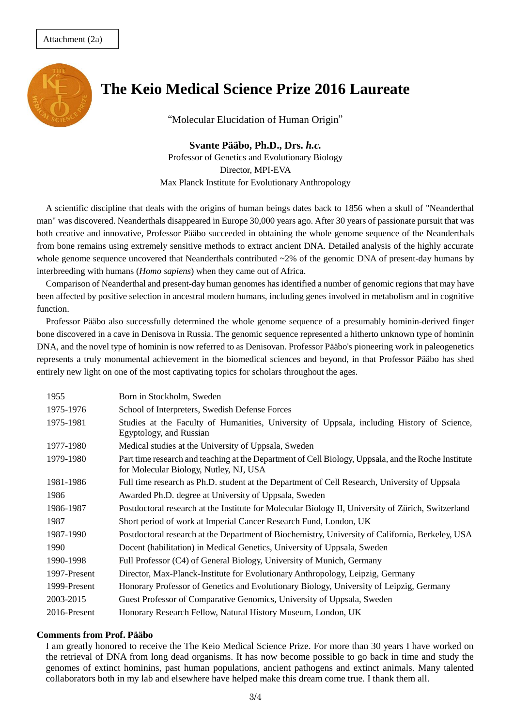

# **The Keio Medical Science Prize 2016 Laureate**

"Molecular Elucidation of Human Origin"

**Svante Pääbo, Ph.D., Drs.** *h.c.* Professor of Genetics and Evolutionary Biology Director, MPI-EVA Max Planck Institute for Evolutionary Anthropology

A scientific discipline that deals with the origins of human beings dates back to 1856 when a skull of "Neanderthal man" was discovered. Neanderthals disappeared in Europe 30,000 years ago. After 30 years of passionate pursuit that was both creative and innovative, Professor Pääbo succeeded in obtaining the whole genome sequence of the Neanderthals from bone remains using extremely sensitive methods to extract ancient DNA. Detailed analysis of the highly accurate whole genome sequence uncovered that Neanderthals contributed  $\sim$ 2% of the genomic DNA of present-day humans by interbreeding with humans (*Homo sapiens*) when they came out of Africa.

Comparison of Neanderthal and present-day human genomes has identified a number of genomic regions that may have been affected by positive selection in ancestral modern humans, including genes involved in metabolism and in cognitive function.

Professor Pääbo also successfully determined the whole genome sequence of a presumably hominin-derived finger bone discovered in a cave in Denisova in Russia. The genomic sequence represented a hitherto unknown type of hominin DNA, and the novel type of hominin is now referred to as Denisovan. Professor Pääbo's pioneering work in paleogenetics represents a truly monumental achievement in the biomedical sciences and beyond, in that Professor Pääbo has shed entirely new light on one of the most captivating topics for scholars throughout the ages.

| 1955         | Born in Stockholm, Sweden                                                                                                                     |
|--------------|-----------------------------------------------------------------------------------------------------------------------------------------------|
| 1975-1976    | School of Interpreters, Swedish Defense Forces                                                                                                |
| 1975-1981    | Studies at the Faculty of Humanities, University of Uppsala, including History of Science,<br>Egyptology, and Russian                         |
| 1977-1980    | Medical studies at the University of Uppsala, Sweden                                                                                          |
| 1979-1980    | Part time research and teaching at the Department of Cell Biology, Uppsala, and the Roche Institute<br>for Molecular Biology, Nutley, NJ, USA |
| 1981-1986    | Full time research as Ph.D. student at the Department of Cell Research, University of Uppsala                                                 |
| 1986         | Awarded Ph.D. degree at University of Uppsala, Sweden                                                                                         |
| 1986-1987    | Postdoctoral research at the Institute for Molecular Biology II, University of Zürich, Switzerland                                            |
| 1987         | Short period of work at Imperial Cancer Research Fund, London, UK                                                                             |
| 1987-1990    | Postdoctoral research at the Department of Biochemistry, University of California, Berkeley, USA                                              |
| 1990         | Docent (habilitation) in Medical Genetics, University of Uppsala, Sweden                                                                      |
| 1990-1998    | Full Professor (C4) of General Biology, University of Munich, Germany                                                                         |
| 1997-Present | Director, Max-Planck-Institute for Evolutionary Anthropology, Leipzig, Germany                                                                |
| 1999-Present | Honorary Professor of Genetics and Evolutionary Biology, University of Leipzig, Germany                                                       |
| 2003-2015    | Guest Professor of Comparative Genomics, University of Uppsala, Sweden                                                                        |
| 2016-Present | Honorary Research Fellow, Natural History Museum, London, UK                                                                                  |

#### **Comments from Prof. Pääbo**

I am greatly honored to receive the The Keio Medical Science Prize. For more than 30 years I have worked on the retrieval of DNA from long dead organisms. It has now become possible to go back in time and study the genomes of extinct hominins, past human populations, ancient pathogens and extinct animals. Many talented collaborators both in my lab and elsewhere have helped make this dream come true. I thank them all.